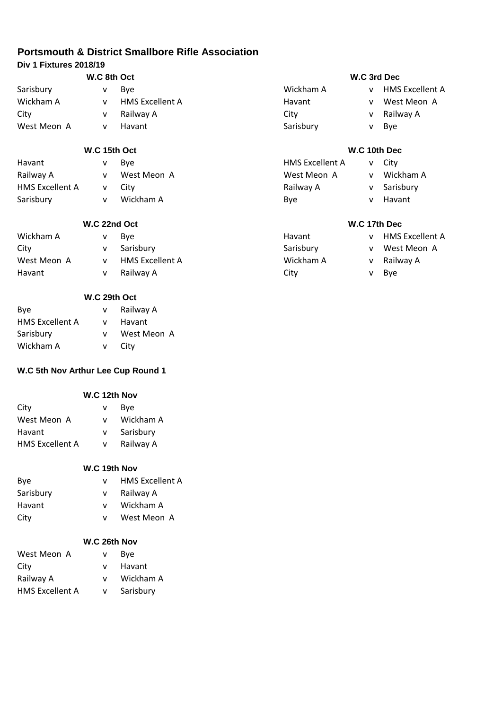# **Portsmouth & District Smallbore Rifle Association**

# **Div 1 Fixtures 2018/19**

| W.C 8th Oct |  | W.C 3rd Dec     |           |   |                   |
|-------------|--|-----------------|-----------|---|-------------------|
| Sarisbury   |  | Bve             | Wickham A |   | v HMS Excellent A |
| Wickham A   |  | HMS Excellent A | Havant    | v | West Meon A       |
| City        |  | Railway A       | City      | v | Railway A         |
| West Meon A |  | Havant          | Sarisbury |   | v Bye             |

| Havant                 |   | Bye         | <b>HMS Excellent A</b> | v | City      |
|------------------------|---|-------------|------------------------|---|-----------|
| Railway A              |   | West Meon A | West Meon A            | v | Wickham A |
| <b>HMS Excellent A</b> | v | City        | Railway A              | v | Sarisbury |
| Sarisbury              |   | Wickham A   | Bye                    |   | Havant    |

# **W.C 22nd Oct W.C 17th Dec**

| Wickham A   | Bye             | Havant    |              | HMS Excellent A |
|-------------|-----------------|-----------|--------------|-----------------|
| City        | Sarisbury       | Sarisbury |              | West Meon A     |
| West Meon A | HMS Excellent A | Wickham A | $\mathsf{V}$ | Railwav A       |
| Havant      | Railway A       | City      |              | Bye             |

# **W.C 29th Oct**

| Bye                    | v.       | Railway A   |
|------------------------|----------|-------------|
| <b>HMS Excellent A</b> | v        | Havant      |
| Sarisbury              | v        | West Meon A |
| Wickham A              | <b>V</b> | City        |

# **W.C 5th Nov Arthur Lee Cup Round 1**

|                 | W.C 12th Nov |           |
|-----------------|--------------|-----------|
| City            | v            | Bye       |
| West Meon A     | v            | Wickham A |
| Havant          | v            | Sarisbury |
| HMS Excellent A | $\mathsf{V}$ | Railway A |
|                 |              |           |

# **W.C 19th Nov**

| v  | <b>HMS Excellent A</b> |
|----|------------------------|
| v. | Railway A              |
| v  | Wickham A              |
| v  | West Meon A            |
|    |                        |

# **W.C 26th Nov**

| West Meon A     | v | Bve       |
|-----------------|---|-----------|
| Citv            | v | Havant    |
| Railway A       | v | Wickham A |
| HMS Excellent A | v | Sarisbury |

# **W.C 15th Oct W.C 10th Dec**

| <b>HMS Excellent A</b> | v. | City      |
|------------------------|----|-----------|
| West Meon A            | v  | Wickham / |
| Railway A              | v. | Sarisbury |
| Bye                    | v  | Havant    |
|                        |    |           |